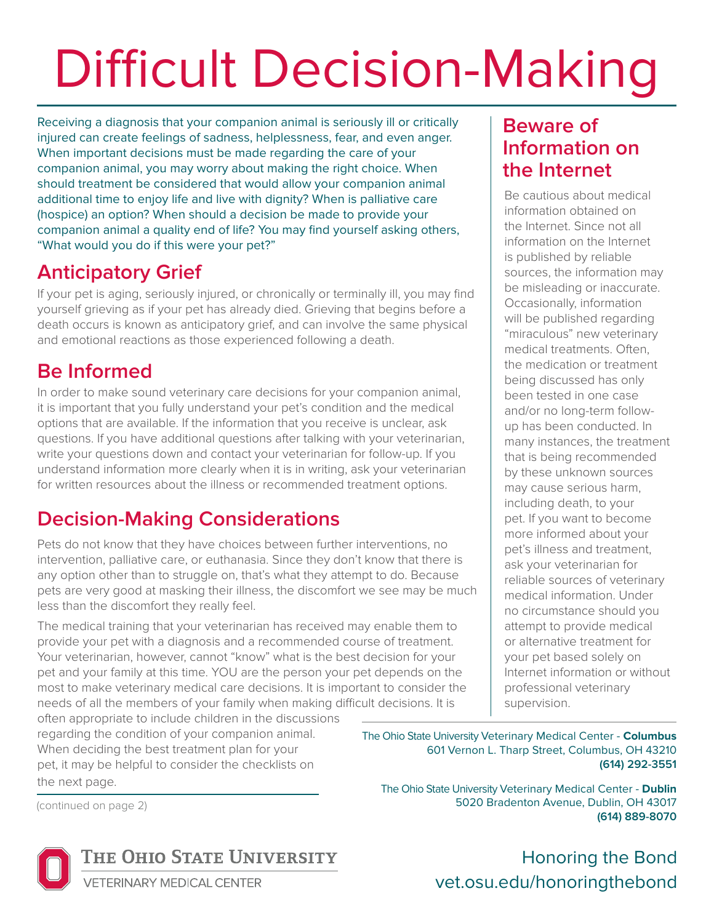# Difficult Decision-Making

Receiving a diagnosis that your companion animal is seriously ill or critically injured can create feelings of sadness, helplessness, fear, and even anger. When important decisions must be made regarding the care of your companion animal, you may worry about making the right choice. When should treatment be considered that would allow your companion animal additional time to enjoy life and live with dignity? When is palliative care (hospice) an option? When should a decision be made to provide your companion animal a quality end of life? You may find yourself asking others, "What would you do if this were your pet?"

#### **Anticipatory Grief**

If your pet is aging, seriously injured, or chronically or terminally ill, you may find yourself grieving as if your pet has already died. Grieving that begins before a death occurs is known as anticipatory grief, and can involve the same physical and emotional reactions as those experienced following a death.

### **Be Informed**

In order to make sound veterinary care decisions for your companion animal, it is important that you fully understand your pet's condition and the medical options that are available. If the information that you receive is unclear, ask questions. If you have additional questions after talking with your veterinarian, write your questions down and contact your veterinarian for follow-up. If you understand information more clearly when it is in writing, ask your veterinarian for written resources about the illness or recommended treatment options.

## **Decision-Making Considerations**

Pets do not know that they have choices between further interventions, no intervention, palliative care, or euthanasia. Since they don't know that there is any option other than to struggle on, that's what they attempt to do. Because pets are very good at masking their illness, the discomfort we see may be much less than the discomfort they really feel.

The medical training that your veterinarian has received may enable them to provide your pet with a diagnosis and a recommended course of treatment. Your veterinarian, however, cannot "know" what is the best decision for your pet and your family at this time. YOU are the person your pet depends on the most to make veterinary medical care decisions. It is important to consider the needs of all the members of your family when making difficult decisions. It is

often appropriate to include children in the discussions regarding the condition of your companion animal. When deciding the best treatment plan for your pet, it may be helpful to consider the checklists on the next page.

(continued on page 2)



**ETERINARY MEDICAL CENTER** 

#### **Beware of Information on the Internet**

Be cautious about medical information obtained on the Internet. Since not all information on the Internet is published by reliable sources, the information may be misleading or inaccurate. Occasionally, information will be published regarding "miraculous" new veterinary medical treatments. Often, the medication or treatment being discussed has only been tested in one case and/or no long-term followup has been conducted. In many instances, the treatment that is being recommended by these unknown sources may cause serious harm, including death, to your pet. If you want to become more informed about your pet's illness and treatment, ask your veterinarian for reliable sources of veterinary medical information. Under no circumstance should you attempt to provide medical or alternative treatment for your pet based solely on Internet information or without professional veterinary supervision.

The Ohio State University Veterinary Medical Center - **Columbus** 601 Vernon L. Tharp Street, Columbus, OH 43210 **(614) 292-3551**

The Ohio State University Veterinary Medical Center - **Dublin** 5020 Bradenton Avenue, Dublin, OH 43017 **(614) 889-8070**

> Honoring the Bond vet.osu.edu/honoringthebond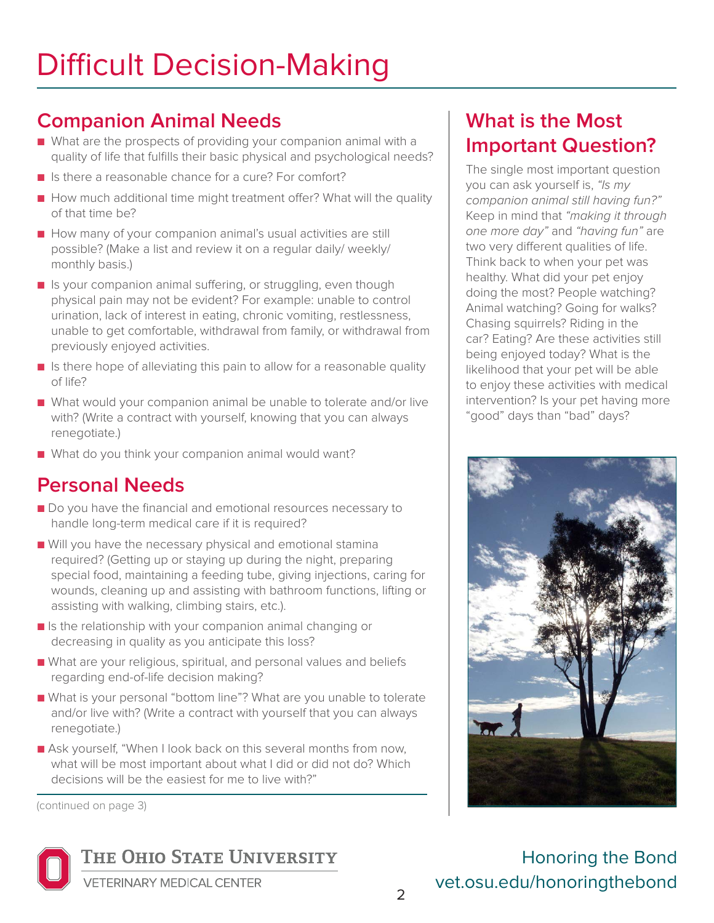#### **Companion Animal Needs**

- What are the prospects of providing your companion animal with a quality of life that fulfills their basic physical and psychological needs?
- Is there a reasonable chance for a cure? For comfort?
- How much additional time might treatment offer? What will the quality of that time be?
- How many of your companion animal's usual activities are still possible? (Make a list and review it on a regular daily/ weekly/ monthly basis.)
- Is your companion animal suffering, or struggling, even though physical pain may not be evident? For example: unable to control urination, lack of interest in eating, chronic vomiting, restlessness, unable to get comfortable, withdrawal from family, or withdrawal from previously enjoyed activities.
- Is there hope of alleviating this pain to allow for a reasonable quality of life?
- What would your companion animal be unable to tolerate and/or live with? (Write a contract with yourself, knowing that you can always renegotiate.)
- What do you think your companion animal would want?

#### **Personal Needs**

- Do you have the financial and emotional resources necessary to handle long-term medical care if it is required?
- Will you have the necessary physical and emotional stamina required? (Getting up or staying up during the night, preparing special food, maintaining a feeding tube, giving injections, caring for wounds, cleaning up and assisting with bathroom functions, lifting or assisting with walking, climbing stairs, etc.).
- Is the relationship with your companion animal changing or decreasing in quality as you anticipate this loss?
- What are your religious, spiritual, and personal values and beliefs regarding end-of-life decision making?
- What is your personal "bottom line"? What are you unable to tolerate and/or live with? (Write a contract with yourself that you can always renegotiate.)
- Ask yourself, "When I look back on this several months from now, what will be most important about what I did or did not do? Which decisions will be the easiest for me to live with?"

(continued on page 3)



THE OHIO STATE UNIVERSITY

**What is the Most Important Question?**

The single most important question you can ask yourself is, *"Is my companion animal still having fun?"* Keep in mind that *"making it through one more day"* and *"having fun"* are two very different qualities of life. Think back to when your pet was healthy. What did your pet enjoy doing the most? People watching? Animal watching? Going for walks? Chasing squirrels? Riding in the car? Eating? Are these activities still being enjoyed today? What is the likelihood that your pet will be able to enjoy these activities with medical intervention? Is your pet having more "good" days than "bad" days?



Honoring the Bond vet.osu.edu/honoringthebond